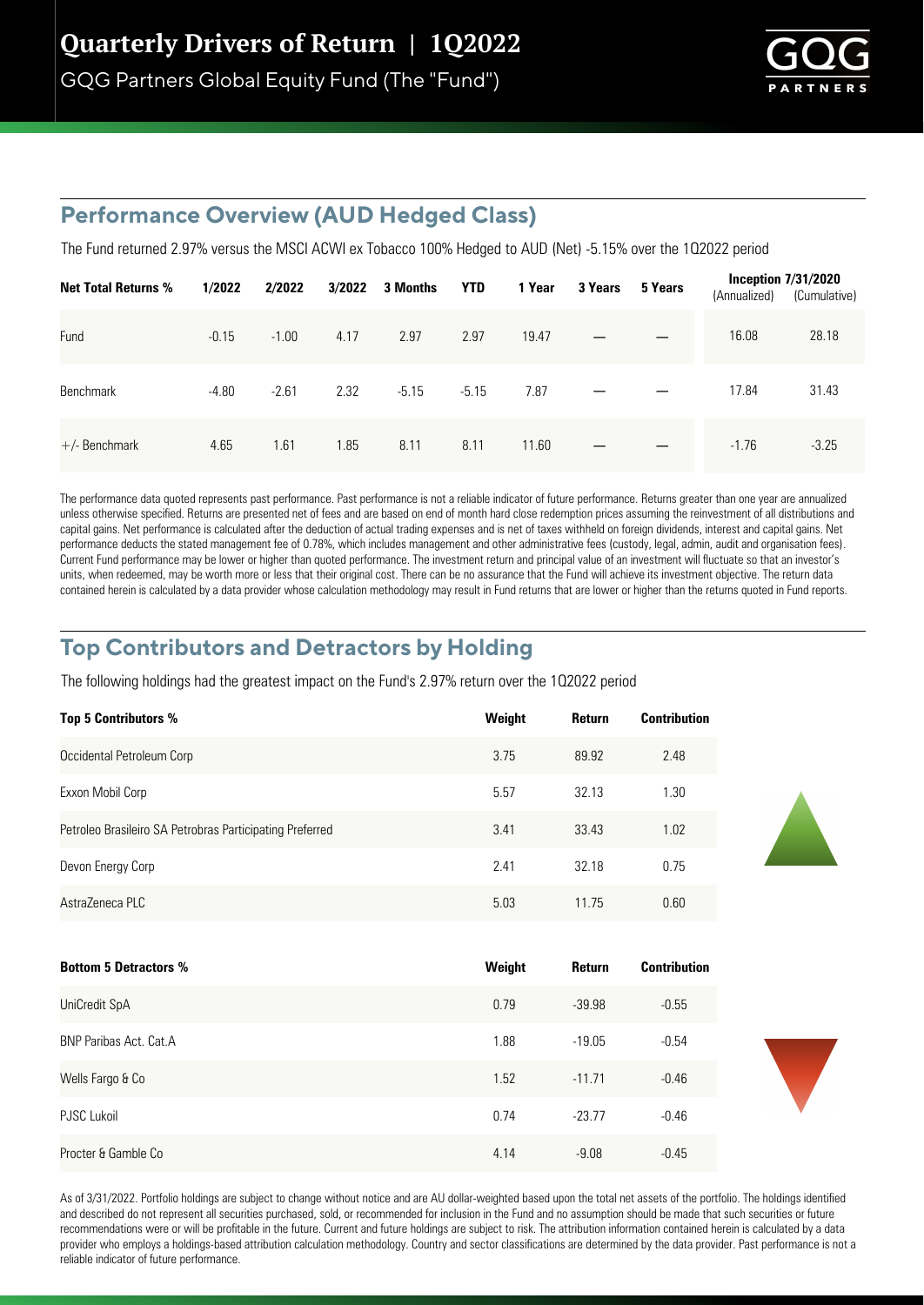GQG Partners Global Equity Fund (The "Fund")



## **Performance Overview (AUD Hedged Class)**

The Fund returned 2.97% versus the MSCI ACWI ex Tobacco 100% Hedged to AUD (Net) -5.15% over the 102022 period

| <b>Net Total Returns %</b> | 1/2022  | 2/2022  | 3/2022 | 3 Months | <b>YTD</b> | 1 Year | 3 Years | 5 Years | (Annualized) | Inception $7/31/2020$<br>(Cumulative) |
|----------------------------|---------|---------|--------|----------|------------|--------|---------|---------|--------------|---------------------------------------|
| Fund                       | $-0.15$ | $-1.00$ | 4.17   | 2.97     | 2.97       | 19.47  |         |         | 16.08        | 28.18                                 |
| Benchmark                  | $-4.80$ | $-2.61$ | 2.32   | $-5.15$  | $-5.15$    | 7.87   |         |         | 17.84        | 31.43                                 |
| $+/-$ Benchmark            | 4.65    | 1.61    | 1.85   | 8.11     | 8.11       | 11.60  |         |         | $-1.76$      | $-3.25$                               |

The performance data quoted represents past performance. Past performance is not a reliable indicator of future performance. Returns greater than one year are annualized unless otherwise specified. Returns are presented net of fees and are based on end of month hard close redemption prices assuming the reinvestment of all distributions and capital gains. Net performance is calculated after the deduction of actual trading expenses and is net of taxes withheld on foreign dividends, interest and capital gains. Net performance deducts the stated management fee of 0.78%, which includes management and other administrative fees (custody, legal, admin, audit and organisation fees). Current Fund performance may be lower or higher than quoted performance. The investment return and principal value of an investment will fluctuate so that an investor's units, when redeemed, may be worth more or less that their original cost. There can be no assurance that the Fund will achieve its investment objective. The return data contained herein is calculated by a data provider whose calculation methodology may result in Fund returns that are lower or higher than the returns quoted in Fund reports.

## **Top Contributors and Detractors by Holding**

The following holdings had the greatest impact on the Fund's 2.97% return over the 102022 period

| <b>Top 5 Contributors %</b>                              | Weight | Return | <b>Contribution</b> |
|----------------------------------------------------------|--------|--------|---------------------|
| Occidental Petroleum Corp                                | 3.75   | 89.92  | 2.48                |
| Exxon Mobil Corp                                         | 5.57   | 32.13  | 1.30                |
| Petroleo Brasileiro SA Petrobras Participating Preferred | 3.41   | 33.43  | 1.02                |
| Devon Energy Corp                                        | 2.41   | 32 18  | 0.75                |
| AstraZeneca PLC                                          | 5.03   | 11.75  | 0.60                |

| <b>Bottom 5 Detractors %</b> | Weight | <b>Return</b> | <b>Contribution</b> |
|------------------------------|--------|---------------|---------------------|
| UniCredit SpA                | 0.79   | $-39.98$      | $-0.55$             |
| BNP Paribas Act. Cat.A       | 1.88   | $-19.05$      | $-0.54$             |
| Wells Fargo & Co             | 1.52   | $-11.71$      | $-0.46$             |
| <b>PJSC Lukoil</b>           | 0.74   | $-23.77$      | $-0.46$             |
| Procter & Gamble Co          | 4.14   | $-9.08$       | $-0.45$             |

As of 3/31/2022. Portfolio holdings are subject to change without notice and are AU dollar-weighted based upon the total net assets of the portfolio. The holdings identified and described do not represent all securities purchased, sold, or recommended for inclusion in the Fund and no assumption should be made that such securities or future recommendations were or will be profitable in the future. Current and future holdings are subject to risk. The attribution information contained herein is calculated by a data provider who employs a holdings-based attribution calculation methodology. Country and sector classifications are determined by the data provider. Past performance is not a reliable indicator of future performance.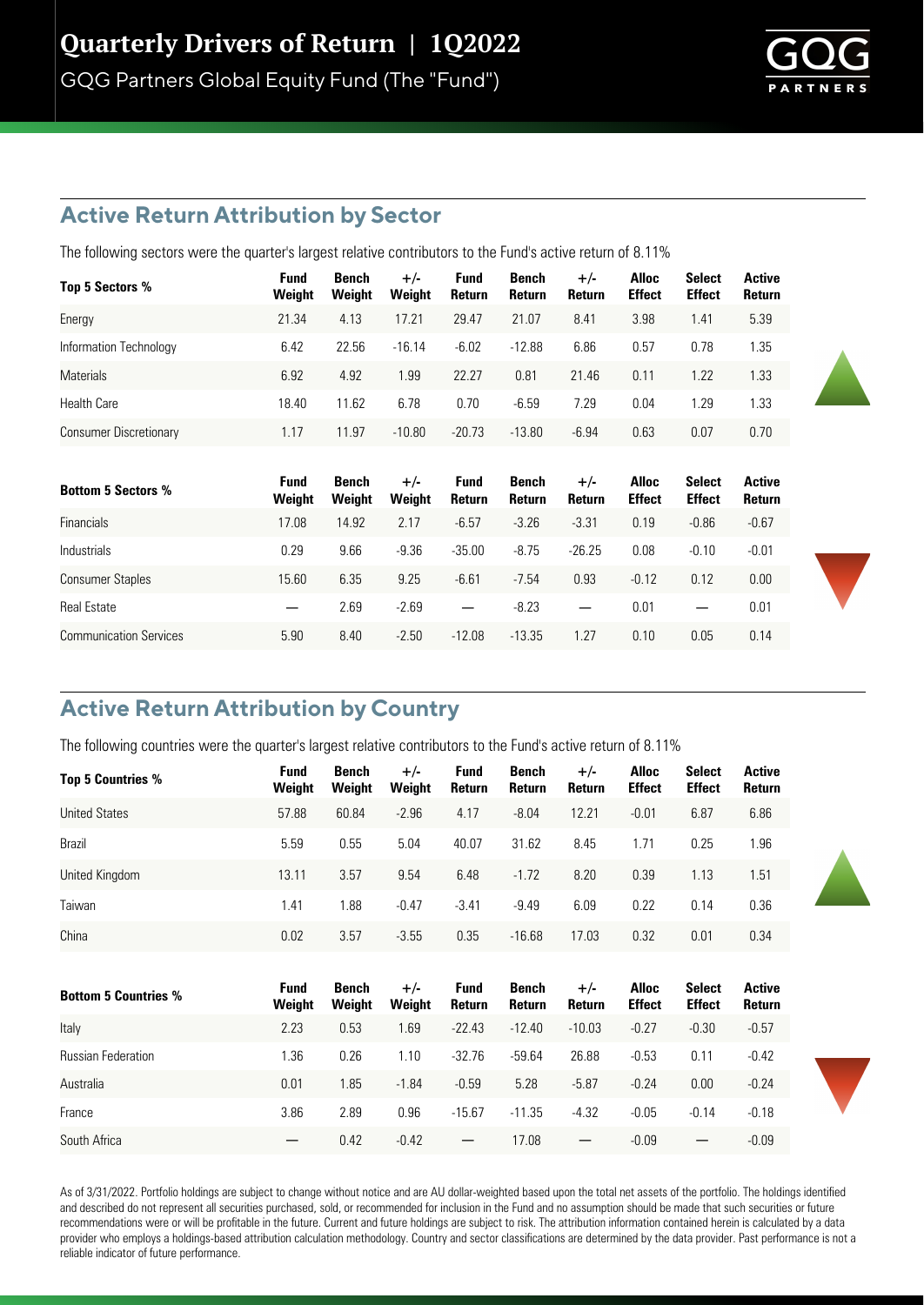GQG Partners Global Equity Fund (The "Fund")



#### **Active Return Attribution by Sector**

The following sectors were the quarter's largest relative contributors to the Fund's active return of 8.11%

| Top 5 Sectors %        | Fund<br>Weight | Bench<br>Weight | $+/-$<br>Weight | <b>Fund</b><br>Return | Bench<br>Return | $+/-$<br>Return | <b>Alloc</b><br><b>Effect</b> | Select<br><b>Effect</b> | <b>Active</b><br><b>Return</b> |
|------------------------|----------------|-----------------|-----------------|-----------------------|-----------------|-----------------|-------------------------------|-------------------------|--------------------------------|
| Energy                 | 21.34          | 4.13            | 17.21           | 29.47                 | 21.07           | 8.41            | 3.98                          | 1.41                    | 5.39                           |
| Information Technology | 6.42           | 22.56           | $-16.14$        | $-6.02$               | $-12.88$        | 6.86            | 0.57                          | 0.78                    | 1.35                           |
| <b>Materials</b>       | 6.92           | 4.92            | 1.99            | 22.27                 | 0.81            | 21.46           | 0.11                          | 1.22                    | 1.33                           |
| <b>Health Care</b>     | 18.40          | 11.62           | 6.78            | 0.70                  | $-6.59$         | 7.29            | 0.04                          | 1.29                    | 1.33                           |
| Consumer Discretionary | 1.17           | 11.97           | $-10.80$        | $-20.73$              | $-13.80$        | $-6.94$         | 0.63                          | 0.07                    | 0.70                           |

| <b>Bottom 5 Sectors %</b>     | Fund<br>Weight           | Bench<br>Weight | $+/-$<br>Weight | Fund<br>Return           | Bench<br><b>Return</b> | $+/-$<br><b>Return</b>   | <b>Alloc</b><br><b>Effect</b> | <b>Select</b><br><b>Effect</b> | Active<br><b>Return</b> |
|-------------------------------|--------------------------|-----------------|-----------------|--------------------------|------------------------|--------------------------|-------------------------------|--------------------------------|-------------------------|
| <b>Financials</b>             | 17.08                    | 14.92           | 2.17            | $-6.57$                  | $-3.26$                | $-3.31$                  | 0.19                          | $-0.86$                        | $-0.67$                 |
| <b>Industrials</b>            | 0.29                     | 9.66            | $-9.36$         | $-35.00$                 | $-8.75$                | $-26.25$                 | 0.08                          | $-0.10$                        | $-0.01$                 |
| <b>Consumer Staples</b>       | 15.60                    | 6.35            | 9.25            | $-6.61$                  | $-7.54$                | 0.93                     | $-0.12$                       | 0.12                           | 0.00                    |
| <b>Real Estate</b>            | $\overline{\phantom{m}}$ | 2.69            | $-2.69$         | $\overline{\phantom{m}}$ | $-8.23$                | $\overline{\phantom{0}}$ | 0.01                          |                                | 0.01                    |
| <b>Communication Services</b> | 5.90                     | 8.40            | $-2.50$         | $-12.08$                 | $-13.35$               | 1.27                     | 0.10                          | 0.05                           | 0.14                    |

#### **Active Return Attribution by Country**

The following countries were the quarter's largest relative contributors to the Fund's active return of 8.11%

| <b>Top 5 Countries %</b>    | <b>Fund</b><br>Weight | Bench<br>Weight        | $+/-$<br>Weight | <b>Fund</b><br>Return    | Bench<br>Return        | $+/-$<br>Return          | <b>Alloc</b><br><b>Effect</b> | <b>Select</b><br><b>Effect</b> | <b>Active</b><br>Return |
|-----------------------------|-----------------------|------------------------|-----------------|--------------------------|------------------------|--------------------------|-------------------------------|--------------------------------|-------------------------|
| <b>United States</b>        | 57.88                 | 60.84                  | $-2.96$         | 4.17                     | $-8.04$                | 12.21                    | $-0.01$                       | 6.87                           | 6.86                    |
| Brazil                      | 5.59                  | 0.55                   | 5.04            | 40.07                    | 31.62                  | 8.45                     | 1.71                          | 0.25                           | 1.96                    |
| United Kingdom              | 13.11                 | 3.57                   | 9.54            | 6.48                     | $-1.72$                | 8.20                     | 0.39                          | 1.13                           | 1.51                    |
| Taiwan                      | 1.41                  | 1.88                   | $-0.47$         | $-3.41$                  | $-9.49$                | 6.09                     | 0.22                          | 0.14                           | 0.36                    |
| China                       | 0.02                  | 3.57                   | $-3.55$         | 0.35                     | $-16.68$               | 17.03                    | 0.32                          | 0.01                           | 0.34                    |
|                             |                       |                        |                 |                          |                        |                          |                               |                                |                         |
| <b>Bottom 5 Countries %</b> | <b>Fund</b><br>Weight | <b>Bench</b><br>Weight | $+/-$<br>Weight | <b>Fund</b><br>Return    | <b>Bench</b><br>Return | $+/-$<br>Return          | <b>Alloc</b><br><b>Effect</b> | <b>Select</b><br><b>Effect</b> | <b>Active</b><br>Return |
| Italy                       | 2.23                  | 0.53                   | 1.69            | $-22.43$                 | $-12.40$               | $-10.03$                 | $-0.27$                       | $-0.30$                        | $-0.57$                 |
| <b>Russian Federation</b>   | 1.36                  | 0.26                   | 1.10            | $-32.76$                 | $-59.64$               | 26.88                    | $-0.53$                       | 0.11                           | $-0.42$                 |
| Australia                   | 0.01                  | 1.85                   | $-1.84$         | $-0.59$                  | 5.28                   | $-5.87$                  | $-0.24$                       | 0.00                           | $-0.24$                 |
| France                      | 3.86                  | 2.89                   | 0.96            | $-15.67$                 | $-11.35$               | $-4.32$                  | $-0.05$                       | $-0.14$                        | $-0.18$                 |
| South Africa                |                       | 0.42                   | $-0.42$         | $\overline{\phantom{0}}$ | 17.08                  | $\overline{\phantom{m}}$ | $-0.09$                       |                                | $-0.09$                 |

As of 3/31/2022. Portfolio holdings are subject to change without notice and are AU dollar-weighted based upon the total net assets of the portfolio. The holdings identified and described do not represent all securities purchased, sold, or recommended for inclusion in the Fund and no assumption should be made that such securities or future recommendations were or will be profitable in the future. Current and future holdings are subject to risk. The attribution information contained herein is calculated by a data provider who employs a holdings-based attribution calculation methodology. Country and sector classifications are determined by the data provider. Past performance is not a reliable indicator of future performance.